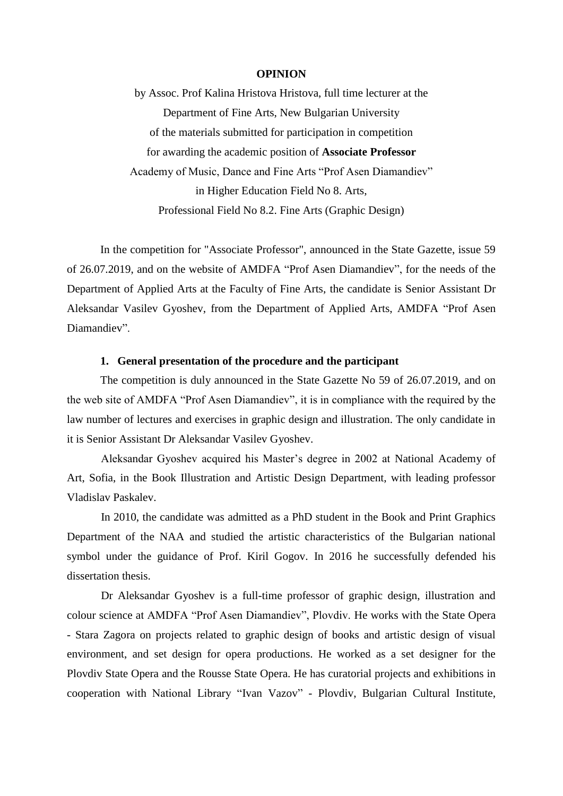## **OPINION**

by Assoc. Prof Kalina Hristova Hristova, full time lecturer at the Department of Fine Arts, New Bulgarian University of the materials submitted for participation in competition for awarding the academic position of **Associate Professor** Academy of Music, Dance and Fine Arts "Prof Asen Diamandiev" in Higher Education Field No 8. Arts, Professional Field No 8.2. Fine Arts (Graphic Design)

In the competition for "Associate Professor", announced in the State Gazette, issue 59 of 26.07.2019, and on the website of AMDFA "Prof Asen Diamandiev", for the needs of the Department of Applied Arts at the Faculty of Fine Arts, the candidate is Senior Assistant Dr Aleksandar Vasilev Gyoshev, from the Department of Applied Arts, AMDFA "Prof Asen Diamandiev".

## **1. General presentation of the procedure and the participant**

The competition is duly announced in the State Gazette No 59 of 26.07.2019, and on the web site of AMDFA "Prof Asen Diamandiev", it is in compliance with the required by the law number of lectures and exercises in graphic design and illustration. The only candidate in it is Senior Assistant Dr Aleksandar Vasilev Gyoshev.

Aleksandar Gyoshev acquired his Master's degree in 2002 at National Academy of Art, Sofia, in the Book Illustration and Artistic Design Department, with leading professor Vladislav Paskalev.

In 2010, the candidate was admitted as a PhD student in the Book and Print Graphics Department of the NAA and studied the artistic characteristics of the Bulgarian national symbol under the guidance of Prof. Kiril Gogov. In 2016 he successfully defended his dissertation thesis.

Dr Aleksandar Gyoshev is a full-time professor of graphic design, illustration and colour science at AMDFA "Prof Asen Diamandiev", Plovdiv. He works with the State Opera - Stara Zagora on projects related to graphic design of books and artistic design of visual environment, and set design for opera productions. He worked as a set designer for the Plovdiv State Opera and the Rousse State Opera. He has curatorial projects and exhibitions in cooperation with National Library "Ivan Vazov" - Plovdiv, Bulgarian Cultural Institute,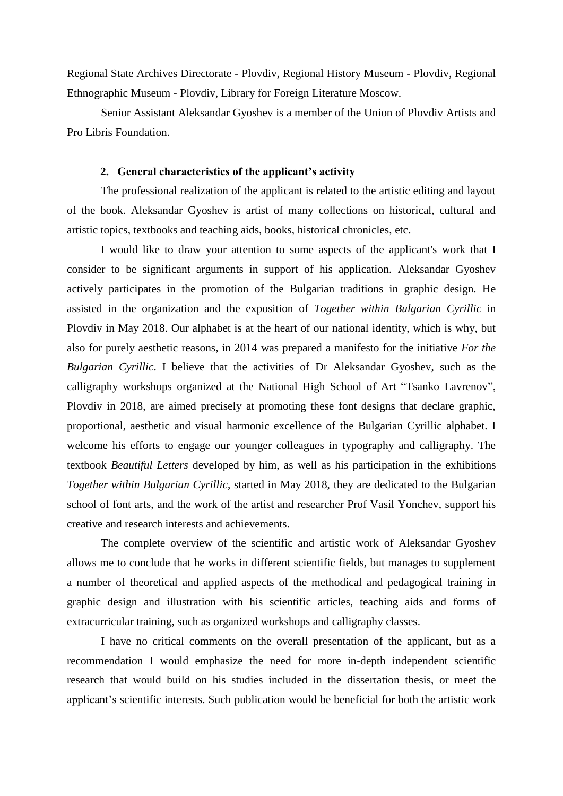Regional State Archives Directorate - Plovdiv, Regional History Museum - Plovdiv, Regional Ethnographic Museum - Plovdiv, Library for Foreign Literature Moscow.

Senior Assistant Aleksandar Gyoshev is a member of the Union of Plovdiv Artists and Pro Libris Foundation.

## **2. General characteristics of the applicant's activity**

The professional realization of the applicant is related to the artistic editing and layout of the book. Aleksandar Gyoshev is artist of many collections on historical, cultural and artistic topics, textbooks and teaching aids, books, historical chronicles, etc.

I would like to draw your attention to some aspects of the applicant's work that I consider to be significant arguments in support of his application. Aleksandar Gyoshev actively participates in the promotion of the Bulgarian traditions in graphic design. He assisted in the organization and the exposition of *Together within Bulgarian Cyrillic* in Plovdiv in May 2018. Our alphabet is at the heart of our national identity, which is why, but also for purely aesthetic reasons, in 2014 was prepared a manifesto for the initiative *For the Bulgarian Cyrillic*. I believe that the activities of Dr Aleksandar Gyoshev, such as the calligraphy workshops organized at the National High School of Art "Tsanko Lavrenov", Plovdiv in 2018, are aimed precisely at promoting these font designs that declare graphic, proportional, aesthetic and visual harmonic excellence of the Bulgarian Cyrillic alphabet. I welcome his efforts to engage our younger colleagues in typography and calligraphy. The textbook *Beautiful Letters* developed by him, as well as his participation in the exhibitions *Together within Bulgarian Cyrillic*, started in May 2018, they are dedicated to the Bulgarian school of font arts, and the work of the artist and researcher Prof Vasil Yonchev, support his creative and research interests and achievements.

The complete overview of the scientific and artistic work of Aleksandar Gyoshev allows me to conclude that he works in different scientific fields, but manages to supplement a number of theoretical and applied aspects of the methodical and pedagogical training in graphic design and illustration with his scientific articles, teaching aids and forms of extracurricular training, such as organized workshops and calligraphy classes.

I have no critical comments on the overall presentation of the applicant, but as a recommendation I would emphasize the need for more in-depth independent scientific research that would build on his studies included in the dissertation thesis, or meet the applicant's scientific interests. Such publication would be beneficial for both the artistic work